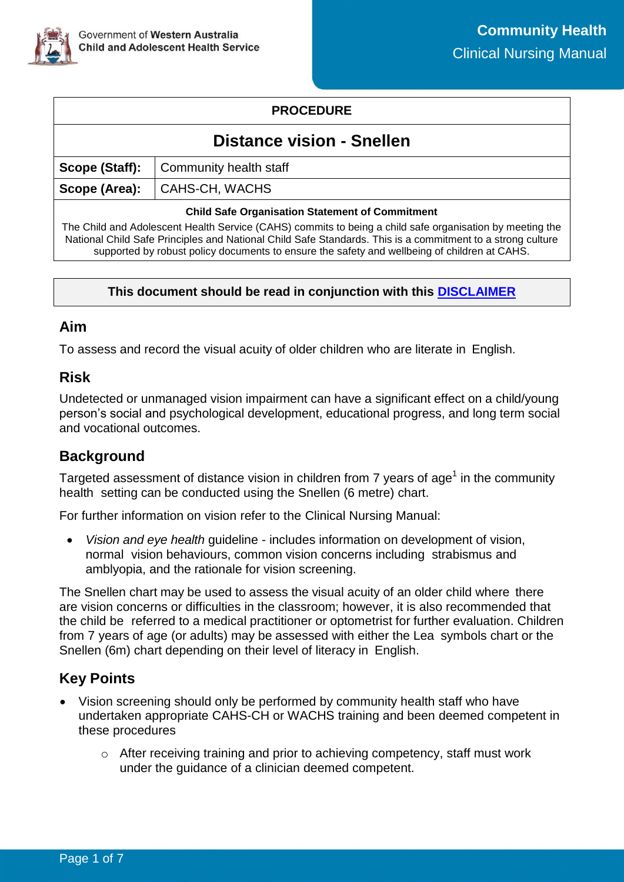

## **PROCEDURE**

# **Distance vision - Snellen**

|                                                        | <b>Scope (Staff):</b> $\vert$ Community health staff |  |
|--------------------------------------------------------|------------------------------------------------------|--|
|                                                        | Scope (Area):   CAHS-CH, WACHS                       |  |
| <b>Child Safe Organisation Statement of Commitment</b> |                                                      |  |

The Child and Adolescent Health Service (CAHS) commits to being a child safe organisation by meeting the National Child Safe Principles and National Child Safe Standards. This is a commitment to a strong culture supported by robust policy documents to ensure the safety and wellbeing of children at CAHS.

#### **This document should be read in conjunction with this [DISCLAIMER](https://cahs.health.wa.gov.au/For-health-professionals/Resources/CAHS-Clinical-Disclaimer)**

### **Aim**

To assess and record the visual acuity of older children who are literate in English.

### **Risk**

Undetected or unmanaged vision impairment can have a significant effect on a child/young person's social and psychological development, educational progress, and long term social and vocational outcomes.

## **Background**

Targeted assessment of distance vision in children from 7 years of age<sup>1</sup> in the community health setting can be conducted using the Snellen (6 metre) chart.

For further information on vision refer to the Clinical Nursing Manual:

 *Vision and eye health* guideline - includes information on development of vision, normal vision behaviours, common vision concerns including strabismus and amblyopia, and the rationale for vision screening.

The Snellen chart may be used to assess the visual acuity of an older child where there are vision concerns or difficulties in the classroom; however, it is also recommended that the child be referred to a medical practitioner or optometrist for further evaluation. Children from 7 years of age (or adults) may be assessed with either the Lea symbols chart or the Snellen (6m) chart depending on their level of literacy in English.

# **Key Points**

- Vision screening should only be performed by community health staff who have undertaken appropriate CAHS-CH or WACHS training and been deemed competent in these procedures
	- o After receiving training and prior to achieving competency, staff must work under the guidance of a clinician deemed competent.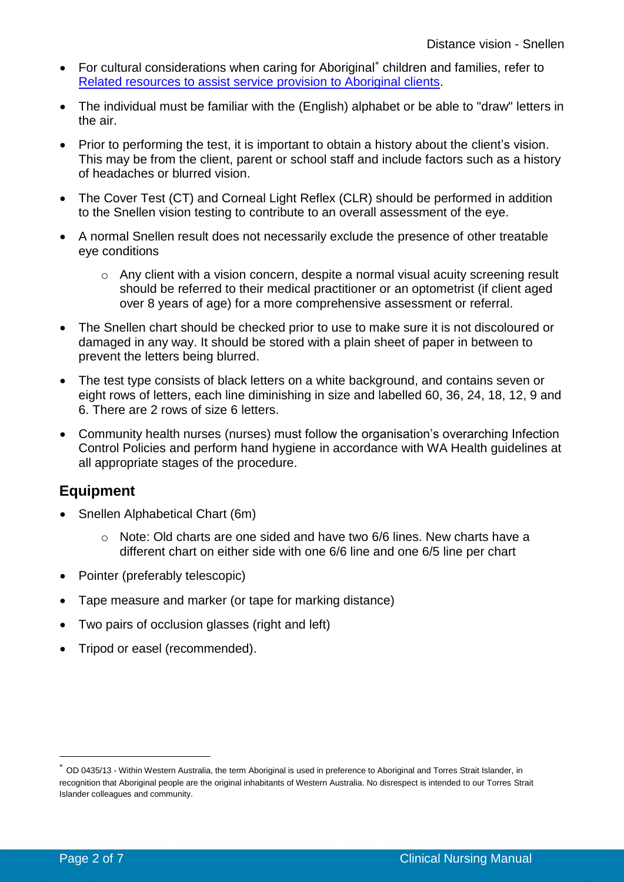- For cultural considerations when caring for Aboriginal<sup>\*</sup> children and families, refer to [Related resources to assist service provision to Aboriginal clients.](#page-6-0)
- The individual must be familiar with the (English) alphabet or be able to "draw" letters in the air.
- Prior to performing the test, it is important to obtain a history about the client's vision. This may be from the client, parent or school staff and include factors such as a history of headaches or blurred vision.
- The Cover Test (CT) and Corneal Light Reflex (CLR) should be performed in addition to the Snellen vision testing to contribute to an overall assessment of the eye.
- A normal Snellen result does not necessarily exclude the presence of other treatable eye conditions
	- o Any client with a vision concern, despite a normal visual acuity screening result should be referred to their medical practitioner or an optometrist (if client aged over 8 years of age) for a more comprehensive assessment or referral.
- The Snellen chart should be checked prior to use to make sure it is not discoloured or damaged in any way. It should be stored with a plain sheet of paper in between to prevent the letters being blurred.
- The test type consists of black letters on a white background, and contains seven or eight rows of letters, each line diminishing in size and labelled 60, 36, 24, 18, 12, 9 and 6. There are 2 rows of size 6 letters.
- Community health nurses (nurses) must follow the organisation's overarching Infection Control Policies and perform hand hygiene in accordance with WA Health guidelines at all appropriate stages of the procedure.

# **Equipment**

- Snellen Alphabetical Chart (6m)
	- $\circ$  Note: Old charts are one sided and have two 6/6 lines. New charts have a different chart on either side with one 6/6 line and one 6/5 line per chart
- Pointer (preferably telescopic)
- Tape measure and marker (or tape for marking distance)
- Two pairs of occlusion glasses (right and left)
- Tripod or easel (recommended).

-

OD 0435/13 - Within Western Australia, the term Aboriginal is used in preference to Aboriginal and Torres Strait Islander, in recognition that Aboriginal people are the original inhabitants of Western Australia. No disrespect is intended to our Torres Strait Islander colleagues and community.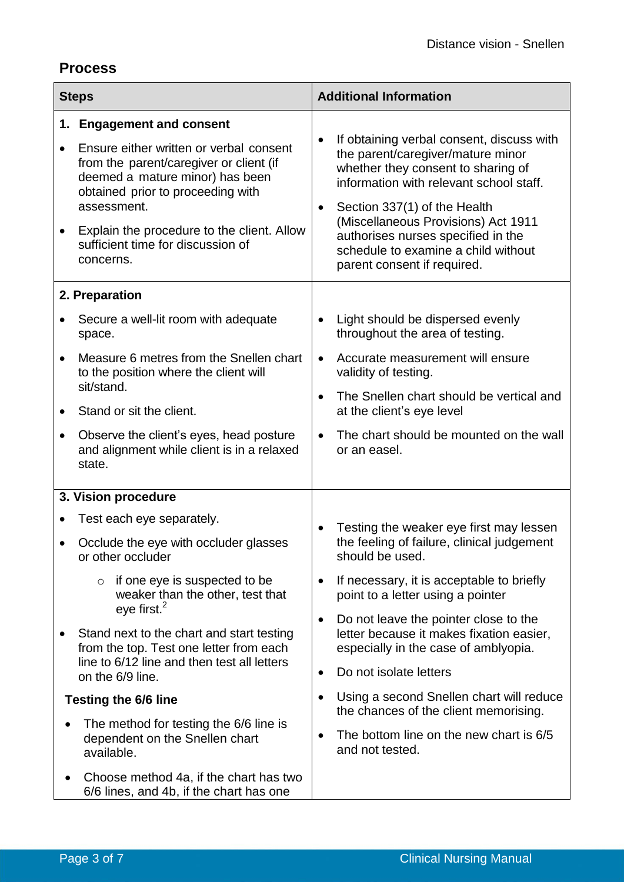# **Process**

| <b>Steps</b>                |                                                                                                                                                                                                                                                                                                        | <b>Additional Information</b> |                                                                                                                                                                                                                                                                                                                                                    |  |
|-----------------------------|--------------------------------------------------------------------------------------------------------------------------------------------------------------------------------------------------------------------------------------------------------------------------------------------------------|-------------------------------|----------------------------------------------------------------------------------------------------------------------------------------------------------------------------------------------------------------------------------------------------------------------------------------------------------------------------------------------------|--|
| ٠                           | 1. Engagement and consent<br>Ensure either written or verbal consent<br>from the parent/caregiver or client (if<br>deemed a mature minor) has been<br>obtained prior to proceeding with<br>assessment.<br>Explain the procedure to the client. Allow<br>sufficient time for discussion of<br>concerns. | $\bullet$<br>$\bullet$        | If obtaining verbal consent, discuss with<br>the parent/caregiver/mature minor<br>whether they consent to sharing of<br>information with relevant school staff.<br>Section 337(1) of the Health<br>(Miscellaneous Provisions) Act 1911<br>authorises nurses specified in the<br>schedule to examine a child without<br>parent consent if required. |  |
|                             | 2. Preparation                                                                                                                                                                                                                                                                                         |                               |                                                                                                                                                                                                                                                                                                                                                    |  |
|                             | Secure a well-lit room with adequate<br>space.                                                                                                                                                                                                                                                         | $\bullet$                     | Light should be dispersed evenly<br>throughout the area of testing.                                                                                                                                                                                                                                                                                |  |
| $\bullet$                   | Measure 6 metres from the Snellen chart<br>to the position where the client will<br>sit/stand.<br>Stand or sit the client.                                                                                                                                                                             | $\bullet$                     | Accurate measurement will ensure<br>validity of testing.                                                                                                                                                                                                                                                                                           |  |
|                             |                                                                                                                                                                                                                                                                                                        |                               | The Snellen chart should be vertical and<br>at the client's eye level                                                                                                                                                                                                                                                                              |  |
| $\bullet$                   | Observe the client's eyes, head posture<br>and alignment while client is in a relaxed<br>state.                                                                                                                                                                                                        | $\bullet$                     | The chart should be mounted on the wall<br>or an easel.                                                                                                                                                                                                                                                                                            |  |
| 3. Vision procedure         |                                                                                                                                                                                                                                                                                                        |                               |                                                                                                                                                                                                                                                                                                                                                    |  |
|                             | Test each eye separately.                                                                                                                                                                                                                                                                              | $\bullet$                     | Testing the weaker eye first may lessen                                                                                                                                                                                                                                                                                                            |  |
|                             | Occlude the eye with occluder glasses<br>or other occluder<br>if one eye is suspected to be<br>$\circ$<br>weaker than the other, test that<br>eye first. <sup>2</sup>                                                                                                                                  |                               | the feeling of failure, clinical judgement<br>should be used.                                                                                                                                                                                                                                                                                      |  |
|                             |                                                                                                                                                                                                                                                                                                        | $\bullet$                     | If necessary, it is acceptable to briefly<br>point to a letter using a pointer                                                                                                                                                                                                                                                                     |  |
|                             | Stand next to the chart and start testing<br>from the top. Test one letter from each<br>line to 6/12 line and then test all letters<br>on the 6/9 line.                                                                                                                                                | $\bullet$                     | Do not leave the pointer close to the<br>letter because it makes fixation easier,<br>especially in the case of amblyopia.                                                                                                                                                                                                                          |  |
|                             |                                                                                                                                                                                                                                                                                                        | $\bullet$                     | Do not isolate letters                                                                                                                                                                                                                                                                                                                             |  |
| <b>Testing the 6/6 line</b> |                                                                                                                                                                                                                                                                                                        | $\bullet$                     | Using a second Snellen chart will reduce<br>the chances of the client memorising.                                                                                                                                                                                                                                                                  |  |
|                             | The method for testing the 6/6 line is<br>dependent on the Snellen chart<br>available.                                                                                                                                                                                                                 |                               | The bottom line on the new chart is 6/5<br>and not tested.                                                                                                                                                                                                                                                                                         |  |
|                             | Choose method 4a, if the chart has two<br>6/6 lines, and 4b, if the chart has one                                                                                                                                                                                                                      |                               |                                                                                                                                                                                                                                                                                                                                                    |  |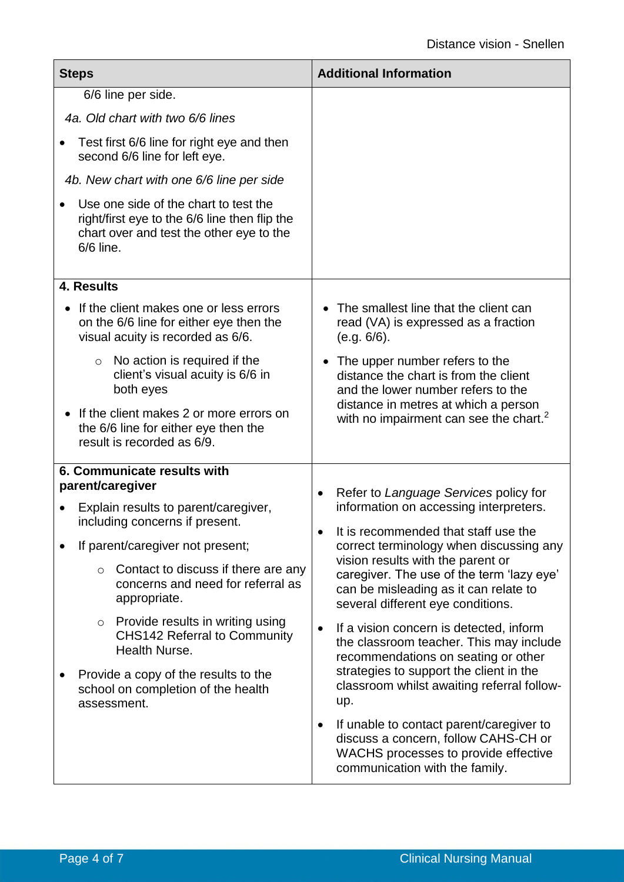| <b>Steps</b>                                                                                                                                    |                                                                                                                        | <b>Additional Information</b>                                                                                                                                                                                                                                                                                                                   |  |  |
|-------------------------------------------------------------------------------------------------------------------------------------------------|------------------------------------------------------------------------------------------------------------------------|-------------------------------------------------------------------------------------------------------------------------------------------------------------------------------------------------------------------------------------------------------------------------------------------------------------------------------------------------|--|--|
| 6/6 line per side.                                                                                                                              |                                                                                                                        |                                                                                                                                                                                                                                                                                                                                                 |  |  |
| 4a. Old chart with two 6/6 lines                                                                                                                |                                                                                                                        |                                                                                                                                                                                                                                                                                                                                                 |  |  |
|                                                                                                                                                 | Test first 6/6 line for right eye and then<br>second 6/6 line for left eye.                                            |                                                                                                                                                                                                                                                                                                                                                 |  |  |
|                                                                                                                                                 | 4b. New chart with one 6/6 line per side                                                                               |                                                                                                                                                                                                                                                                                                                                                 |  |  |
| Use one side of the chart to test the<br>right/first eye to the 6/6 line then flip the<br>chart over and test the other eye to the<br>6/6 line. |                                                                                                                        |                                                                                                                                                                                                                                                                                                                                                 |  |  |
|                                                                                                                                                 | 4. Results                                                                                                             |                                                                                                                                                                                                                                                                                                                                                 |  |  |
|                                                                                                                                                 | If the client makes one or less errors<br>on the 6/6 line for either eye then the<br>visual acuity is recorded as 6/6. | The smallest line that the client can<br>read (VA) is expressed as a fraction<br>(e.g. 6/6).                                                                                                                                                                                                                                                    |  |  |
|                                                                                                                                                 | No action is required if the<br>$\circ$<br>client's visual acuity is 6/6 in<br>both eyes                               | The upper number refers to the<br>distance the chart is from the client<br>and the lower number refers to the                                                                                                                                                                                                                                   |  |  |
|                                                                                                                                                 | If the client makes 2 or more errors on<br>the 6/6 line for either eye then the<br>result is recorded as 6/9.          | distance in metres at which a person<br>with no impairment can see the chart. <sup>2</sup>                                                                                                                                                                                                                                                      |  |  |
| 6. Communicate results with<br>parent/caregiver                                                                                                 |                                                                                                                        |                                                                                                                                                                                                                                                                                                                                                 |  |  |
|                                                                                                                                                 | Explain results to parent/caregiver,<br>including concerns if present.                                                 | Refer to Language Services policy for<br>$\bullet$<br>information on accessing interpreters.<br>It is recommended that staff use the<br>correct terminology when discussing any<br>vision results with the parent or<br>caregiver. The use of the term 'lazy eye'<br>can be misleading as it can relate to<br>several different eye conditions. |  |  |
|                                                                                                                                                 | If parent/caregiver not present;                                                                                       |                                                                                                                                                                                                                                                                                                                                                 |  |  |
|                                                                                                                                                 | Contact to discuss if there are any<br>$\circ$<br>concerns and need for referral as<br>appropriate.                    |                                                                                                                                                                                                                                                                                                                                                 |  |  |
|                                                                                                                                                 | Provide results in writing using<br>$\circ$<br><b>CHS142 Referral to Community</b><br>Health Nurse.                    | If a vision concern is detected, inform<br>٠<br>the classroom teacher. This may include<br>recommendations on seating or other                                                                                                                                                                                                                  |  |  |
|                                                                                                                                                 | Provide a copy of the results to the<br>school on completion of the health<br>assessment.                              | strategies to support the client in the<br>classroom whilst awaiting referral follow-<br>up.                                                                                                                                                                                                                                                    |  |  |
|                                                                                                                                                 |                                                                                                                        | If unable to contact parent/caregiver to<br>$\bullet$<br>discuss a concern, follow CAHS-CH or<br>WACHS processes to provide effective<br>communication with the family.                                                                                                                                                                         |  |  |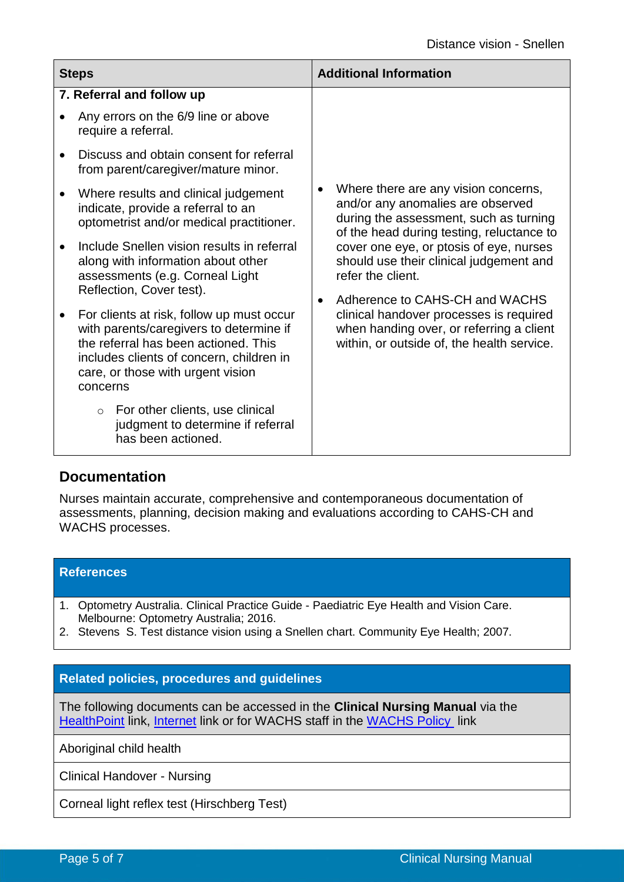| <b>Steps</b> |                                                                                                                                                                                                                                                                                                                                                                                                                                                                                                                                                                                                                                                                         | <b>Additional Information</b>                                                                                                                                                                                                                                                                                                                                                                                                                                   |
|--------------|-------------------------------------------------------------------------------------------------------------------------------------------------------------------------------------------------------------------------------------------------------------------------------------------------------------------------------------------------------------------------------------------------------------------------------------------------------------------------------------------------------------------------------------------------------------------------------------------------------------------------------------------------------------------------|-----------------------------------------------------------------------------------------------------------------------------------------------------------------------------------------------------------------------------------------------------------------------------------------------------------------------------------------------------------------------------------------------------------------------------------------------------------------|
|              | 7. Referral and follow up<br>Any errors on the 6/9 line or above<br>require a referral.<br>Discuss and obtain consent for referral<br>from parent/caregiver/mature minor.<br>Where results and clinical judgement<br>indicate, provide a referral to an<br>optometrist and/or medical practitioner.<br>Include Snellen vision results in referral<br>along with information about other<br>assessments (e.g. Corneal Light<br>Reflection, Cover test).<br>For clients at risk, follow up must occur<br>with parents/caregivers to determine if<br>the referral has been actioned. This<br>includes clients of concern, children in<br>care, or those with urgent vision | Where there are any vision concerns,<br>$\bullet$<br>and/or any anomalies are observed<br>during the assessment, such as turning<br>of the head during testing, reluctance to<br>cover one eye, or ptosis of eye, nurses<br>should use their clinical judgement and<br>refer the client.<br>Adherence to CAHS-CH and WACHS<br>clinical handover processes is required<br>when handing over, or referring a client<br>within, or outside of, the health service. |
|              | concerns<br>For other clients, use clinical<br>$\circ$<br>judgment to determine if referral<br>has been actioned.                                                                                                                                                                                                                                                                                                                                                                                                                                                                                                                                                       |                                                                                                                                                                                                                                                                                                                                                                                                                                                                 |

### **Documentation**

Nurses maintain accurate, comprehensive and contemporaneous documentation of assessments, planning, decision making and evaluations according to CAHS-CH and WACHS processes.

### **References**

- 1. Optometry Australia. Clinical Practice Guide Paediatric Eye Health and Vision Care. Melbourne: Optometry Australia; 2016.
- 2. Stevens S. Test distance vision using a Snellen chart. Community Eye Health; 2007.

### **Related policies, procedures and guidelines**

The following documents can be accessed in the **Clinical Nursing Manual** via the [HealthPoint](https://healthpoint.hdwa.health.wa.gov.au/policies/Pages/CACH-Community-Health.aspx) link, [Internet](https://www.cahs.health.wa.gov.au/en/For-health-professionals/Resources/Community-Health-Clinical-Nursing-Manual) link or for WACHS staff in the [WACHS Policy](https://healthpoint.hdwa.health.wa.gov.au/policies/Pages/WACHS%20Policy%20Pages/WACHS-Policies.aspx) link

Aboriginal child health

Clinical Handover - Nursing

Corneal light reflex test (Hirschberg Test)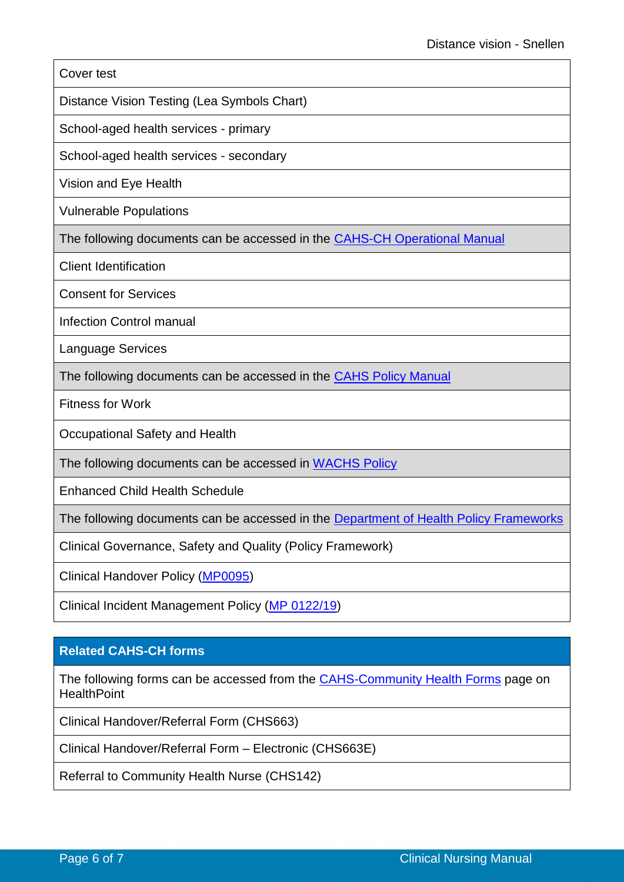#### Cover test

Distance Vision Testing (Lea Symbols Chart)

School-aged health services - primary

School-aged health services - secondary

[Vision](http://pmh.health.wa.gov.au/general/CACH/section3.htm) and Eye Health

Vulnerable Populations

The following documents can be accessed in the **CAHS-CH [Operational Manual](https://healthpoint.hdwa.health.wa.gov.au/policies/Pages/CACH-Operational-Policies.aspx)** 

Client Identification

Consent for Services

Infection Control manual

Language Services

The following documents can be accessed in the [CAHS Policy Manual](https://healthpoint.hdwa.health.wa.gov.au/policies/Pages/CAHS-Policies-Corporate.aspx)

Fitness for Work

Occupational Safety and Health

The following documents can be accessed in [WACHS Policy](https://healthpoint.hdwa.health.wa.gov.au/policies/Pages/WACHS%20Policy%20Pages/WACHS-Policies.aspx) 

Enhanced Child Health Schedule

The following documents can be accessed in the [Department of Health Policy Frameworks](https://ww2.health.wa.gov.au/About-us/Policy-Frameworks)

Clinical Governance, Safety and Quality (Policy Framework)

Clinical Handover Policy [\(MP0095\)](https://ww2.health.wa.gov.au/About-us/Policy-frameworks/Clinical-Governance-Safety-and-Quality/Mandatory-requirements/Clinical-Handover-Policy)

Clinical Incident Management Policy [\(MP 0122/19\)](https://ww2.health.wa.gov.au/About-us/Policy-frameworks/Clinical-Governance-Safety-and-Quality/Mandatory-requirements/Clinical-Incident-Management-Policy)

### **Related CAHS-CH forms**

The following forms can be accessed from the **[CAHS-Community Health Forms](https://cahs-healthpoint.hdwa.health.wa.gov.au/cach/forms/Pages/default.aspx)** page on **HealthPoint** 

Clinical Handover/Referral Form (CHS663)

Clinical Handover/Referral Form – Electronic (CHS663E)

Referral to Community Health Nurse (CHS142)